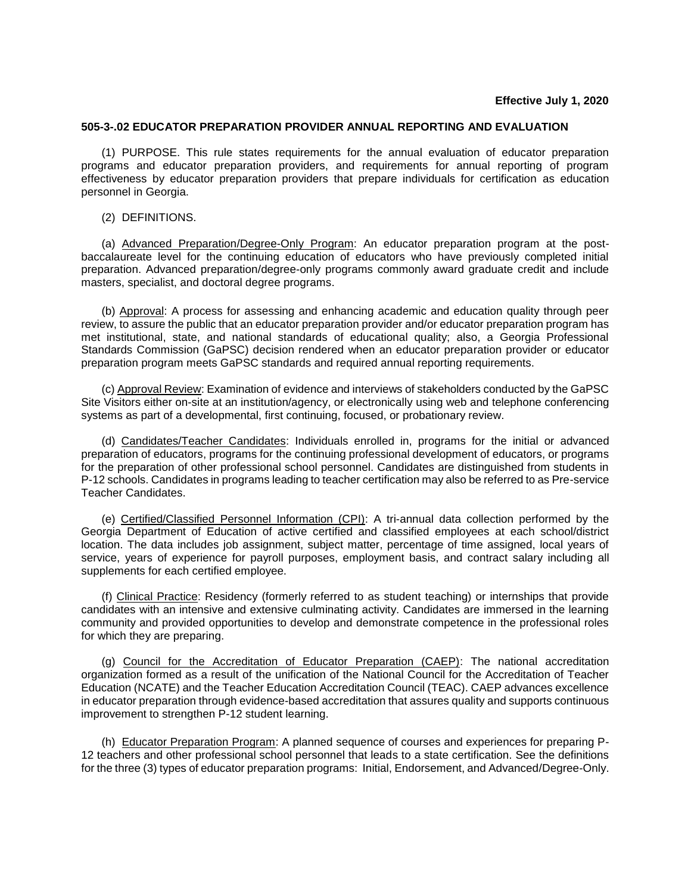# **Effective July 1, 2020**

# **505-3-.02 EDUCATOR PREPARATION PROVIDER ANNUAL REPORTING AND EVALUATION**

(1) PURPOSE. This rule states requirements for the annual evaluation of educator preparation programs and educator preparation providers, and requirements for annual reporting of program effectiveness by educator preparation providers that prepare individuals for certification as education personnel in Georgia.

(2) DEFINITIONS.

(a) Advanced Preparation/Degree-Only Program: An educator preparation program at the postbaccalaureate level for the continuing education of educators who have previously completed initial preparation. Advanced preparation/degree-only programs commonly award graduate credit and include masters, specialist, and doctoral degree programs.

(b) Approval: A process for assessing and enhancing academic and education quality through peer review, to assure the public that an educator preparation provider and/or educator preparation program has met institutional, state, and national standards of educational quality; also, a Georgia Professional Standards Commission (GaPSC) decision rendered when an educator preparation provider or educator preparation program meets GaPSC standards and required annual reporting requirements.

(c) Approval Review: Examination of evidence and interviews of stakeholders conducted by the GaPSC Site Visitors either on-site at an institution/agency, or electronically using web and telephone conferencing systems as part of a developmental, first continuing, focused, or probationary review.

(d) Candidates/Teacher Candidates: Individuals enrolled in, programs for the initial or advanced preparation of educators, programs for the continuing professional development of educators, or programs for the preparation of other professional school personnel. Candidates are distinguished from students in P-12 schools. Candidates in programs leading to teacher certification may also be referred to as Pre-service Teacher Candidates.

(e) Certified/Classified Personnel Information (CPI): A tri-annual data collection performed by the Georgia Department of Education of active certified and classified employees at each school/district location. The data includes job assignment, subject matter, percentage of time assigned, local years of service, years of experience for payroll purposes, employment basis, and contract salary including all supplements for each certified employee.

(f) Clinical Practice: Residency (formerly referred to as student teaching) or internships that provide candidates with an intensive and extensive culminating activity. Candidates are immersed in the learning community and provided opportunities to develop and demonstrate competence in the professional roles for which they are preparing.

(g) Council for the Accreditation of Educator Preparation (CAEP): The national accreditation organization formed as a result of the unification of the National Council for the Accreditation of Teacher Education (NCATE) and the Teacher Education Accreditation Council (TEAC). CAEP advances excellence in educator preparation through evidence-based accreditation that assures quality and supports continuous improvement to strengthen P-12 student learning.

(h) Educator Preparation Program: A planned sequence of courses and experiences for preparing P-12 teachers and other professional school personnel that leads to a state certification. See the definitions for the three (3) types of educator preparation programs: Initial, Endorsement, and Advanced/Degree-Only.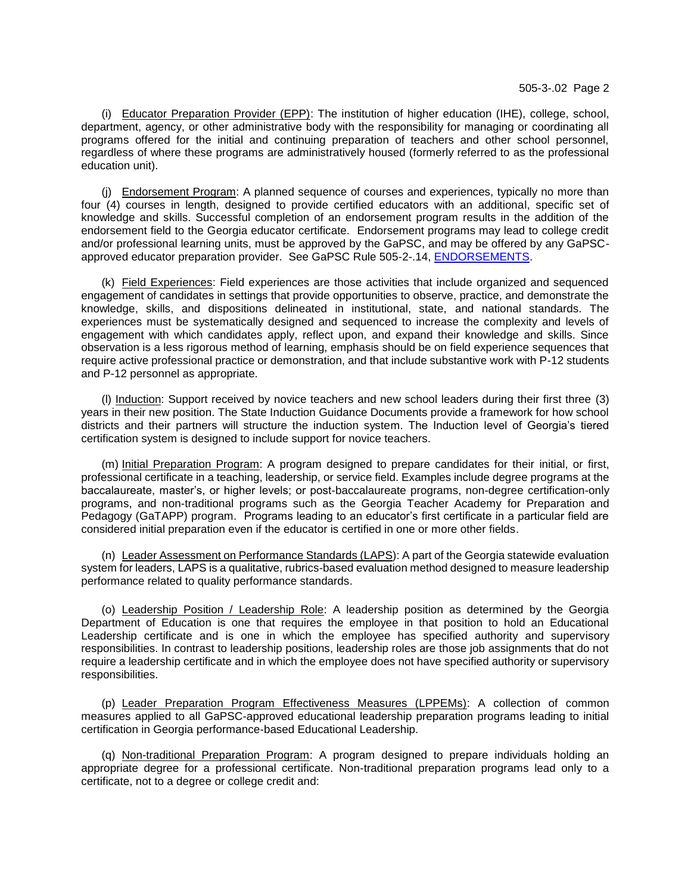(i) Educator Preparation Provider (EPP): The institution of higher education (IHE), college, school, department, agency, or other administrative body with the responsibility for managing or coordinating all programs offered for the initial and continuing preparation of teachers and other school personnel, regardless of where these programs are administratively housed (formerly referred to as the professional education unit).

(j) Endorsement Program: A planned sequence of courses and experiences, typically no more than four (4) courses in length, designed to provide certified educators with an additional, specific set of knowledge and skills. Successful completion of an endorsement program results in the addition of the endorsement field to the Georgia educator certificate. Endorsement programs may lead to college credit and/or professional learning units, must be approved by the GaPSC, and may be offered by any GaPSCapproved educator preparation provider. See GaPSC Rule 505-2-.14, [ENDORSEMENTS.](https://www.gapsc.com/Rules/Current/Certification/505-2-.14.pdf?dt=%3C%25#Eval()

(k) Field Experiences: Field experiences are those activities that include organized and sequenced engagement of candidates in settings that provide opportunities to observe, practice, and demonstrate the knowledge, skills, and dispositions delineated in institutional, state, and national standards. The experiences must be systematically designed and sequenced to increase the complexity and levels of engagement with which candidates apply, reflect upon, and expand their knowledge and skills. Since observation is a less rigorous method of learning, emphasis should be on field experience sequences that require active professional practice or demonstration, and that include substantive work with P-12 students and P-12 personnel as appropriate.

(l) Induction: Support received by novice teachers and new school leaders during their first three (3) years in their new position. The State Induction Guidance Documents provide a framework for how school districts and their partners will structure the induction system. The Induction level of Georgia's tiered certification system is designed to include support for novice teachers.

(m) Initial Preparation Program: A program designed to prepare candidates for their initial, or first, professional certificate in a teaching, leadership, or service field. Examples include degree programs at the baccalaureate, master's, or higher levels; or post-baccalaureate programs, non-degree certification-only programs, and non-traditional programs such as the Georgia Teacher Academy for Preparation and Pedagogy (GaTAPP) program. Programs leading to an educator's first certificate in a particular field are considered initial preparation even if the educator is certified in one or more other fields.

(n) Leader Assessment on Performance Standards (LAPS): A part of the Georgia statewide evaluation system for leaders, LAPS is a qualitative, rubrics-based evaluation method designed to measure leadership performance related to quality performance standards.

(o) Leadership Position / Leadership Role: A leadership position as determined by the Georgia Department of Education is one that requires the employee in that position to hold an Educational Leadership certificate and is one in which the employee has specified authority and supervisory responsibilities. In contrast to leadership positions, leadership roles are those job assignments that do not require a leadership certificate and in which the employee does not have specified authority or supervisory responsibilities.

(p) Leader Preparation Program Effectiveness Measures (LPPEMs): A collection of common measures applied to all GaPSC-approved educational leadership preparation programs leading to initial certification in Georgia performance-based Educational Leadership.

(q) Non-traditional Preparation Program: A program designed to prepare individuals holding an appropriate degree for a professional certificate. Non-traditional preparation programs lead only to a certificate, not to a degree or college credit and: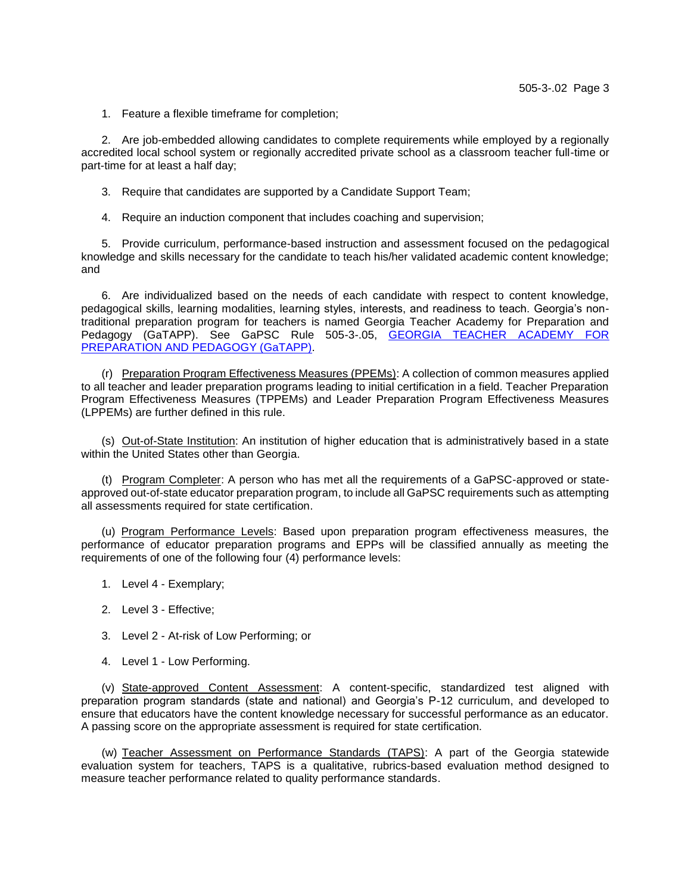1. Feature a flexible timeframe for completion;

2. Are job-embedded allowing candidates to complete requirements while employed by a regionally accredited local school system or regionally accredited private school as a classroom teacher full-time or part-time for at least a half day;

- 3. Require that candidates are supported by a Candidate Support Team;
- 4. Require an induction component that includes coaching and supervision;

5. Provide curriculum, performance-based instruction and assessment focused on the pedagogical knowledge and skills necessary for the candidate to teach his/her validated academic content knowledge; and

6. Are individualized based on the needs of each candidate with respect to content knowledge, pedagogical skills, learning modalities, learning styles, interests, and readiness to teach. Georgia's nontraditional preparation program for teachers is named Georgia Teacher Academy for Preparation and Pedagogy (GaTAPP). See GaPSC Rule 505-3-.05, GEORGIA TEACHER ACADEMY FOR [PREPARATION AND PEDAGOGY \(GaTAPP\).](https://www.gapsc.com/Rules/Current/EducatorPreparation/505-3-.05.pdf?dt=%3C%25#Eval()

(r) Preparation Program Effectiveness Measures (PPEMs): A collection of common measures applied to all teacher and leader preparation programs leading to initial certification in a field. Teacher Preparation Program Effectiveness Measures (TPPEMs) and Leader Preparation Program Effectiveness Measures (LPPEMs) are further defined in this rule.

(s) Out-of-State Institution: An institution of higher education that is administratively based in a state within the United States other than Georgia.

(t) Program Completer: A person who has met all the requirements of a GaPSC-approved or stateapproved out-of-state educator preparation program, to include all GaPSC requirements such as attempting all assessments required for state certification.

(u) Program Performance Levels: Based upon preparation program effectiveness measures, the performance of educator preparation programs and EPPs will be classified annually as meeting the requirements of one of the following four (4) performance levels:

- 1. Level 4 Exemplary;
- 2. Level 3 Effective;
- 3. Level 2 At-risk of Low Performing; or
- 4. Level 1 Low Performing.

(v) State-approved Content Assessment: A content-specific, standardized test aligned with preparation program standards (state and national) and Georgia's P-12 curriculum, and developed to ensure that educators have the content knowledge necessary for successful performance as an educator. A passing score on the appropriate assessment is required for state certification.

(w) Teacher Assessment on Performance Standards (TAPS): A part of the Georgia statewide evaluation system for teachers, TAPS is a qualitative, rubrics-based evaluation method designed to measure teacher performance related to quality performance standards.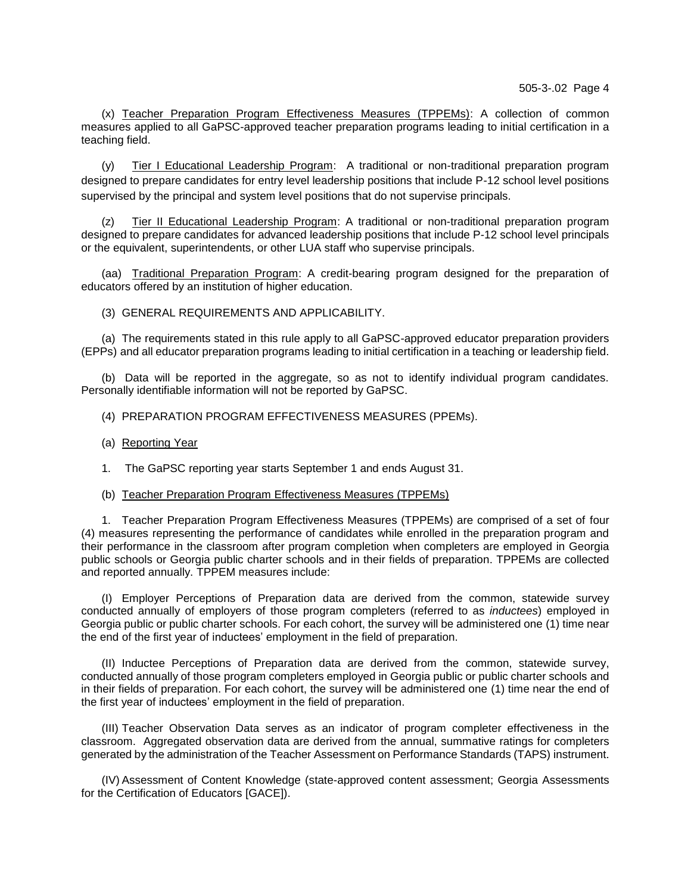(x) Teacher Preparation Program Effectiveness Measures (TPPEMs): A collection of common measures applied to all GaPSC-approved teacher preparation programs leading to initial certification in a teaching field.

(y) Tier I Educational Leadership Program: A traditional or non-traditional preparation program designed to prepare candidates for entry level leadership positions that include P-12 school level positions supervised by the principal and system level positions that do not supervise principals.

(z) Tier II Educational Leadership Program: A traditional or non-traditional preparation program designed to prepare candidates for advanced leadership positions that include P-12 school level principals or the equivalent, superintendents, or other LUA staff who supervise principals.

(aa) Traditional Preparation Program: A credit-bearing program designed for the preparation of educators offered by an institution of higher education.

(3) GENERAL REQUIREMENTS AND APPLICABILITY.

(a) The requirements stated in this rule apply to all GaPSC-approved educator preparation providers (EPPs) and all educator preparation programs leading to initial certification in a teaching or leadership field.

(b) Data will be reported in the aggregate, so as not to identify individual program candidates. Personally identifiable information will not be reported by GaPSC.

#### (4) PREPARATION PROGRAM EFFECTIVENESS MEASURES (PPEMs).

- (a) Reporting Year
- 1. The GaPSC reporting year starts September 1 and ends August 31.
- (b) Teacher Preparation Program Effectiveness Measures (TPPEMs)

1. Teacher Preparation Program Effectiveness Measures (TPPEMs) are comprised of a set of four (4) measures representing the performance of candidates while enrolled in the preparation program and their performance in the classroom after program completion when completers are employed in Georgia public schools or Georgia public charter schools and in their fields of preparation. TPPEMs are collected and reported annually. TPPEM measures include:

(I) Employer Perceptions of Preparation data are derived from the common, statewide survey conducted annually of employers of those program completers (referred to as *inductees*) employed in Georgia public or public charter schools. For each cohort, the survey will be administered one (1) time near the end of the first year of inductees' employment in the field of preparation.

(II) Inductee Perceptions of Preparation data are derived from the common, statewide survey, conducted annually of those program completers employed in Georgia public or public charter schools and in their fields of preparation. For each cohort, the survey will be administered one (1) time near the end of the first year of inductees' employment in the field of preparation.

(III) Teacher Observation Data serves as an indicator of program completer effectiveness in the classroom. Aggregated observation data are derived from the annual, summative ratings for completers generated by the administration of the Teacher Assessment on Performance Standards (TAPS) instrument.

(IV) Assessment of Content Knowledge (state-approved content assessment; Georgia Assessments for the Certification of Educators [GACE]).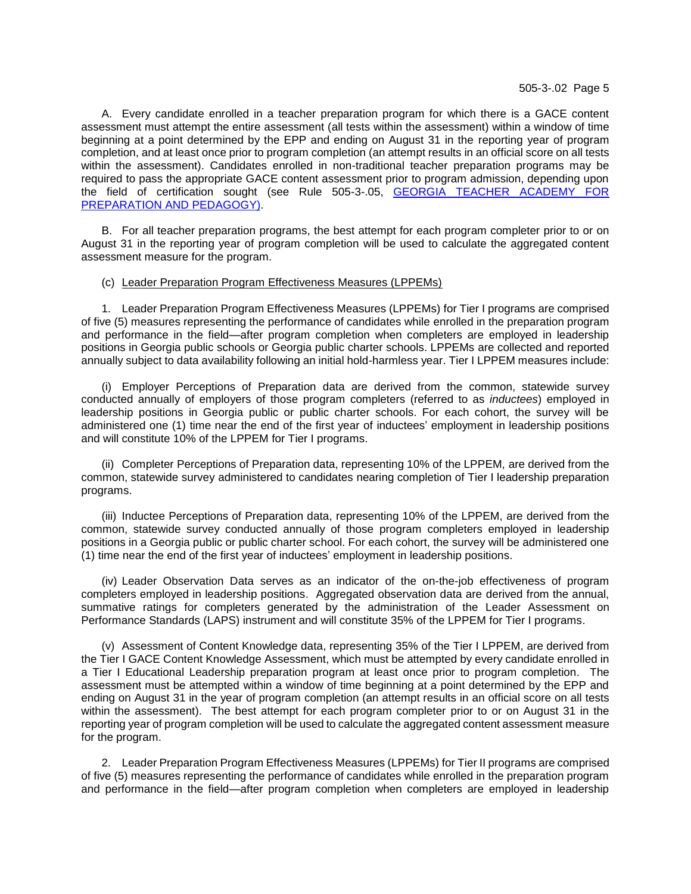A. Every candidate enrolled in a teacher preparation program for which there is a GACE content assessment must attempt the entire assessment (all tests within the assessment) within a window of time beginning at a point determined by the EPP and ending on August 31 in the reporting year of program completion, and at least once prior to program completion (an attempt results in an official score on all tests within the assessment). Candidates enrolled in non-traditional teacher preparation programs may be required to pass the appropriate GACE content assessment prior to program admission, depending upon the field of certification sought (see Rule 505-3-.05, [GEORGIA TEACHER ACADEMY FOR](https://www.gapsc.com/Rules/Current/EducatorPreparation/505-3-.05.pdf?dt=%3C%25#Eval()  [PREPARATION AND PEDAGOGY\).](https://www.gapsc.com/Rules/Current/EducatorPreparation/505-3-.05.pdf?dt=%3C%25#Eval()

B. For all teacher preparation programs, the best attempt for each program completer prior to or on August 31 in the reporting year of program completion will be used to calculate the aggregated content assessment measure for the program.

(c) Leader Preparation Program Effectiveness Measures (LPPEMs)

1. Leader Preparation Program Effectiveness Measures (LPPEMs) for Tier I programs are comprised of five (5) measures representing the performance of candidates while enrolled in the preparation program and performance in the field—after program completion when completers are employed in leadership positions in Georgia public schools or Georgia public charter schools. LPPEMs are collected and reported annually subject to data availability following an initial hold-harmless year. Tier I LPPEM measures include:

(i) Employer Perceptions of Preparation data are derived from the common, statewide survey conducted annually of employers of those program completers (referred to as *inductees*) employed in leadership positions in Georgia public or public charter schools. For each cohort, the survey will be administered one (1) time near the end of the first year of inductees' employment in leadership positions and will constitute 10% of the LPPEM for Tier I programs.

(ii) Completer Perceptions of Preparation data, representing 10% of the LPPEM, are derived from the common, statewide survey administered to candidates nearing completion of Tier I leadership preparation programs.

(iii) Inductee Perceptions of Preparation data, representing 10% of the LPPEM, are derived from the common, statewide survey conducted annually of those program completers employed in leadership positions in a Georgia public or public charter school. For each cohort, the survey will be administered one (1) time near the end of the first year of inductees' employment in leadership positions.

(iv) Leader Observation Data serves as an indicator of the on-the-job effectiveness of program completers employed in leadership positions. Aggregated observation data are derived from the annual, summative ratings for completers generated by the administration of the Leader Assessment on Performance Standards (LAPS) instrument and will constitute 35% of the LPPEM for Tier I programs.

(v) Assessment of Content Knowledge data, representing 35% of the Tier I LPPEM, are derived from the Tier I GACE Content Knowledge Assessment, which must be attempted by every candidate enrolled in a Tier I Educational Leadership preparation program at least once prior to program completion. The assessment must be attempted within a window of time beginning at a point determined by the EPP and ending on August 31 in the year of program completion (an attempt results in an official score on all tests within the assessment). The best attempt for each program completer prior to or on August 31 in the reporting year of program completion will be used to calculate the aggregated content assessment measure for the program.

2. Leader Preparation Program Effectiveness Measures (LPPEMs) for Tier II programs are comprised of five (5) measures representing the performance of candidates while enrolled in the preparation program and performance in the field—after program completion when completers are employed in leadership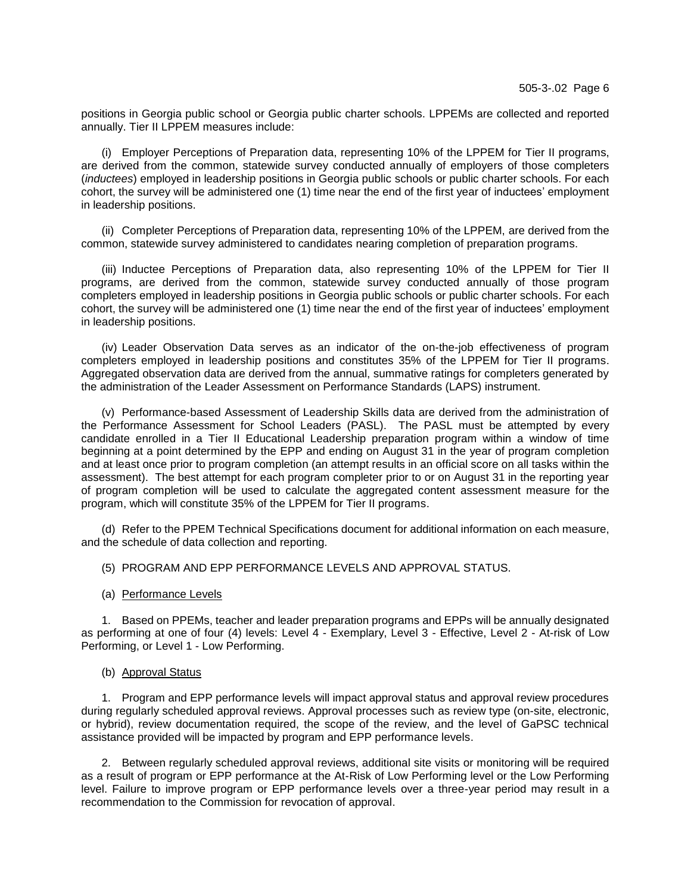positions in Georgia public school or Georgia public charter schools. LPPEMs are collected and reported annually. Tier II LPPEM measures include:

(i) Employer Perceptions of Preparation data, representing 10% of the LPPEM for Tier II programs, are derived from the common, statewide survey conducted annually of employers of those completers (*inductees*) employed in leadership positions in Georgia public schools or public charter schools. For each cohort, the survey will be administered one (1) time near the end of the first year of inductees' employment in leadership positions.

(ii) Completer Perceptions of Preparation data, representing 10% of the LPPEM, are derived from the common, statewide survey administered to candidates nearing completion of preparation programs.

(iii) Inductee Perceptions of Preparation data, also representing 10% of the LPPEM for Tier II programs, are derived from the common, statewide survey conducted annually of those program completers employed in leadership positions in Georgia public schools or public charter schools. For each cohort, the survey will be administered one (1) time near the end of the first year of inductees' employment in leadership positions.

(iv) Leader Observation Data serves as an indicator of the on-the-job effectiveness of program completers employed in leadership positions and constitutes 35% of the LPPEM for Tier II programs. Aggregated observation data are derived from the annual, summative ratings for completers generated by the administration of the Leader Assessment on Performance Standards (LAPS) instrument.

(v) Performance-based Assessment of Leadership Skills data are derived from the administration of the Performance Assessment for School Leaders (PASL). The PASL must be attempted by every candidate enrolled in a Tier II Educational Leadership preparation program within a window of time beginning at a point determined by the EPP and ending on August 31 in the year of program completion and at least once prior to program completion (an attempt results in an official score on all tasks within the assessment). The best attempt for each program completer prior to or on August 31 in the reporting year of program completion will be used to calculate the aggregated content assessment measure for the program, which will constitute 35% of the LPPEM for Tier II programs.

(d) Refer to the PPEM Technical Specifications document for additional information on each measure, and the schedule of data collection and reporting.

#### (5) PROGRAM AND EPP PERFORMANCE LEVELS AND APPROVAL STATUS.

(a) Performance Levels

1. Based on PPEMs, teacher and leader preparation programs and EPPs will be annually designated as performing at one of four (4) levels: Level 4 - Exemplary, Level 3 - Effective, Level 2 - At-risk of Low Performing, or Level 1 - Low Performing.

(b) Approval Status

1. Program and EPP performance levels will impact approval status and approval review procedures during regularly scheduled approval reviews. Approval processes such as review type (on-site, electronic, or hybrid), review documentation required, the scope of the review, and the level of GaPSC technical assistance provided will be impacted by program and EPP performance levels.

2. Between regularly scheduled approval reviews, additional site visits or monitoring will be required as a result of program or EPP performance at the At-Risk of Low Performing level or the Low Performing level. Failure to improve program or EPP performance levels over a three-year period may result in a recommendation to the Commission for revocation of approval.